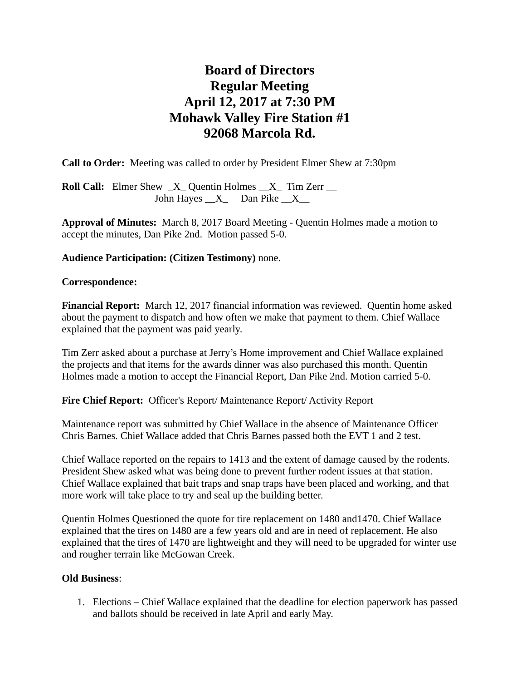# **Board of Directors Regular Meeting April 12, 2017 at 7:30 PM Mohawk Valley Fire Station #1 92068 Marcola Rd.**

**Call to Order:** Meeting was called to order by President Elmer Shew at 7:30pm

**Roll Call:** Elmer Shew  $X$  Quentin Holmes  $X$  Tim Zerr \_\_ John Hayes **\_\_**X**\_** Dan Pike \_\_X\_\_

**Approval of Minutes:** March 8, 2017 Board Meeting - Quentin Holmes made a motion to accept the minutes, Dan Pike 2nd. Motion passed 5-0.

# **Audience Participation: (Citizen Testimony)** none.

## **Correspondence:**

**Financial Report:** March 12, 2017 financial information was reviewed. Quentin home asked about the payment to dispatch and how often we make that payment to them. Chief Wallace explained that the payment was paid yearly.

Tim Zerr asked about a purchase at Jerry's Home improvement and Chief Wallace explained the projects and that items for the awards dinner was also purchased this month. Quentin Holmes made a motion to accept the Financial Report, Dan Pike 2nd. Motion carried 5-0.

Fire Chief Report: Officer's Report/ Maintenance Report/ Activity Report

Maintenance report was submitted by Chief Wallace in the absence of Maintenance Officer Chris Barnes. Chief Wallace added that Chris Barnes passed both the EVT 1 and 2 test.

Chief Wallace reported on the repairs to 1413 and the extent of damage caused by the rodents. President Shew asked what was being done to prevent further rodent issues at that station. Chief Wallace explained that bait traps and snap traps have been placed and working, and that more work will take place to try and seal up the building better.

Quentin Holmes Questioned the quote for tire replacement on 1480 and1470. Chief Wallace explained that the tires on 1480 are a few years old and are in need of replacement. He also explained that the tires of 1470 are lightweight and they will need to be upgraded for winter use and rougher terrain like McGowan Creek.

# **Old Business**:

1. Elections – Chief Wallace explained that the deadline for election paperwork has passed and ballots should be received in late April and early May.